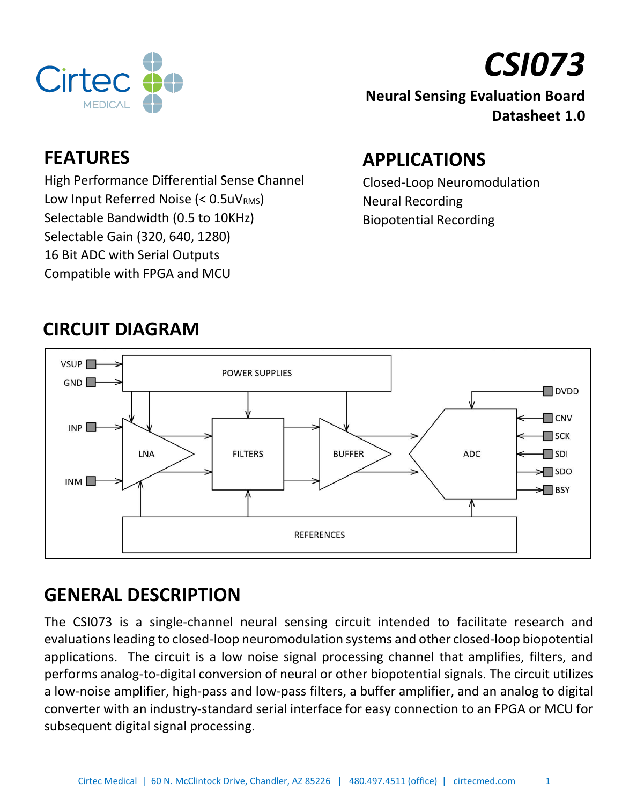



#### **Neural Sensing Evaluation Board Datasheet 1.0**

#### **FEATURES**

High Performance Differential Sense Channel Low Input Referred Noise (< 0.5uVRMS) Selectable Bandwidth (0.5 to 10KHz) Selectable Gain (320, 640, 1280) 16 Bit ADC with Serial Outputs Compatible with FPGA and MCU

# **APPLICATIONS**

Closed-Loop Neuromodulation Neural Recording Biopotential Recording



# **CIRCUIT DIAGRAM**

# **GENERAL DESCRIPTION**

The CSI073 is a single-channel neural sensing circuit intended to facilitate research and evaluations leading to closed-loop neuromodulation systems and other closed-loop biopotential applications. The circuit is a low noise signal processing channel that amplifies, filters, and performs analog-to-digital conversion of neural or other biopotential signals. The circuit utilizes a low-noise amplifier, high-pass and low-pass filters, a buffer amplifier, and an analog to digital converter with an industry-standard serial interface for easy connection to an FPGA or MCU for subsequent digital signal processing.